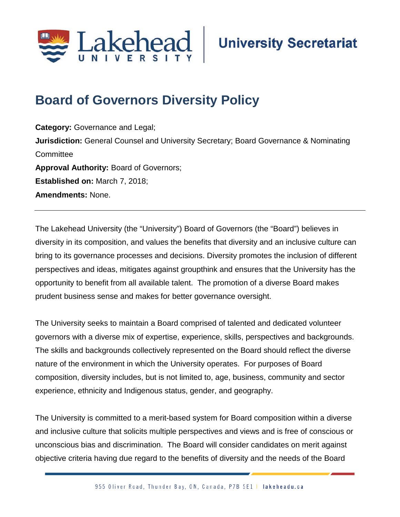

## **Board of Governors Diversity Policy**

**Category:** Governance and Legal; **Jurisdiction:** General Counsel and University Secretary; Board Governance & Nominating **Committee Approval Authority:** Board of Governors; **Established on:** March 7, 2018; **Amendments:** None.

The Lakehead University (the "University") Board of Governors (the "Board") believes in diversity in its composition, and values the benefits that diversity and an inclusive culture can bring to its governance processes and decisions. Diversity promotes the inclusion of different perspectives and ideas, mitigates against groupthink and ensures that the University has the opportunity to benefit from all available talent. The promotion of a diverse Board makes prudent business sense and makes for better governance oversight.

The University seeks to maintain a Board comprised of talented and dedicated volunteer governors with a diverse mix of expertise, experience, skills, perspectives and backgrounds. The skills and backgrounds collectively represented on the Board should reflect the diverse nature of the environment in which the University operates. For purposes of Board composition, diversity includes, but is not limited to, age, business, community and sector experience, ethnicity and Indigenous status, gender, and geography.

The University is committed to a merit-based system for Board composition within a diverse and inclusive culture that solicits multiple perspectives and views and is free of conscious or unconscious bias and discrimination. The Board will consider candidates on merit against objective criteria having due regard to the benefits of diversity and the needs of the Board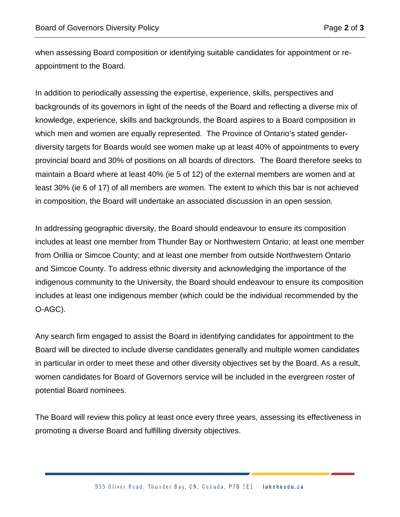when assessing Board composition or identifying suitable candidates for appointment or reappointment to the Board.

In addition to periodically assessing the expertise, experience, skills, perspectives and backgrounds of its governors in light of the needs of the Board and reflecting a diverse mix of knowledge, experience, skills and backgrounds, the Board aspires to a Board composition in which men and women are equally represented. The Province of Ontario's stated genderdiversity targets for Boards would see women make up at least 40% of appointments to every provincial board and 30% of positions on all boards of directors. The Board therefore seeks to maintain a Board where at least 40% (ie 5 of 12) of the external members are women and at least 30% (ie 6 of 17) of all members are women. The extent to which this bar is not achieved in composition, the Board will undertake an associated discussion in an open session.

In addressing geographic diversity, the Board should endeavour to ensure its composition includes at least one member from Thunder Bay or Northwestern Ontario; at least one member from Orillia or Simcoe County; and at least one member from outside Northwestern Ontario and Simcoe County. To address ethnic diversity and acknowledging the importance of the indigenous community to the University, the Board should endeavour to ensure its composition includes at least one indigenous member (which could be the individual recommended by the O-AGC).

Any search firm engaged to assist the Board in identifying candidates for appointment to the Board will be directed to include diverse candidates generally and multiple women candidates in particular in order to meet these and other diversity objectives set by the Board. As a result, women candidates for Board of Governors service will be included in the evergreen roster of potential Board nominees.

The Board will review this policy at least once every three years, assessing its effectiveness in promoting a diverse Board and fulfilling diversity objectives.